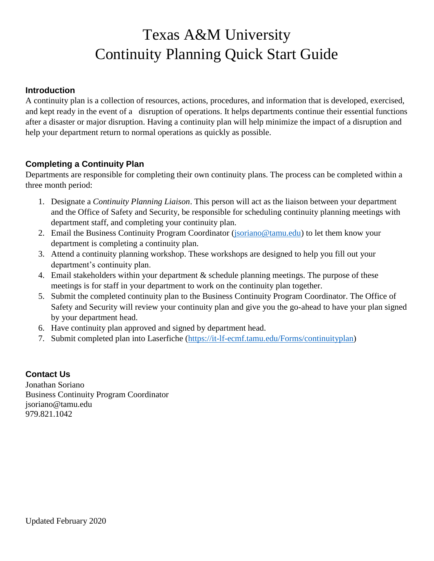# Texas A&M University Continuity Planning Quick Start Guide

#### **Introduction**

A continuity plan is a collection of resources, actions, procedures, and information that is developed, exercised, and kept ready in the event of a disruption of operations. It helps departments continue their essential functions after a disaster or major disruption. Having a continuity plan will help minimize the impact of a disruption and help your department return to normal operations as quickly as possible.

#### **Completing a Continuity Plan**

Departments are responsible for completing their own continuity plans. The process can be completed within a three month period:

- 1. Designate a *Continuity Planning Liaison*. This person will act as the liaison between your department and the Office of Safety and Security, be responsible for scheduling continuity planning meetings with department staff, and completing your continuity plan.
- 2. Email the Business Continuity Program Coordinator [\(jsoriano@tamu.edu\)](mailto:jsoriano@tamu.edu) to let them know your department is completing a continuity plan.
- 3. Attend a continuity planning workshop. These workshops are designed to help you fill out your department's continuity plan.
- 4. Email stakeholders within your department & schedule planning meetings. The purpose of these meetings is for staff in your department to work on the continuity plan together.
- 5. Submit the completed continuity plan to the Business Continuity Program Coordinator. The Office of Safety and Security will review your continuity plan and give you the go-ahead to have your plan signed by your department head.
- 6. Have continuity plan approved and signed by department head.
- 7. Submit completed plan into Laserfiche [\(https://it-lf-ecmf.tamu.edu/Forms/continuityplan\)](https://it-lf-ecmf.tamu.edu/Forms/continuityplan)

### **Contact Us**

Jonathan Soriano Business Continuity Program Coordinator jsoriano@tamu.edu 979.821.1042